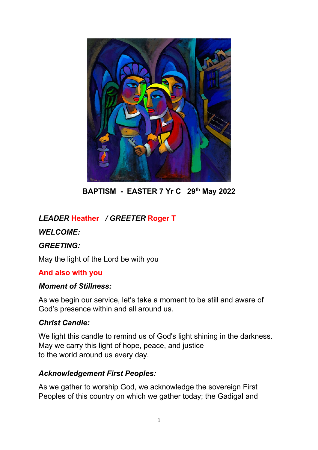

**BAPTISM - EASTER 7 Yr C 29th May 2022**

# *LEADER* **Heather** */ GREETER* **Roger T**

### *WELCOME:*

#### *GREETING:*

May the light of the Lord be with you

#### **And also with you**

#### *Moment of Stillness:*

As we begin our service, let's take a moment to be still and aware of God's presence within and all around us.

#### *Christ Candle:*

We light this candle to remind us of God's light shining in the darkness. May we carry this light of hope, peace, and justice to the world around us every day.

#### *Acknowledgement First Peoples:*

As we gather to worship God, we acknowledge the sovereign First Peoples of this country on which we gather today; the Gadigal and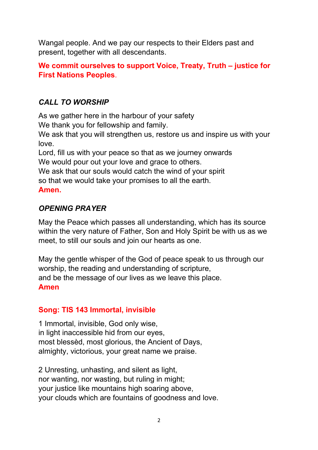Wangal people. And we pay our respects to their Elders past and present, together with all descendants.

## **We commit ourselves to support Voice, Treaty, Truth – justice for First Nations Peoples**.

## *CALL TO WORSHIP*

As we gather here in the harbour of your safety We thank you for fellowship and family. We ask that you will strengthen us, restore us and inspire us with your love. Lord, fill us with your peace so that as we journey onwards We would pour out your love and grace to others.

We ask that our souls would catch the wind of your spirit so that we would take your promises to all the earth. **Amen.**

### *OPENING PRAYER*

May the Peace which passes all understanding, which has its source within the very nature of Father, Son and Holy Spirit be with us as we meet, to still our souls and join our hearts as one.

May the gentle whisper of the God of peace speak to us through our worship, the reading and understanding of scripture, and be the message of our lives as we leave this place. **Amen**

### **Song: TIS 143 Immortal, invisible**

1 Immortal, invisible, God only wise, in light inaccessible hid from our eyes, most blessèd, most glorious, the Ancient of Days, almighty, victorious, your great name we praise.

2 Unresting, unhasting, and silent as light, nor wanting, nor wasting, but ruling in might; your justice like mountains high soaring above, your clouds which are fountains of goodness and love.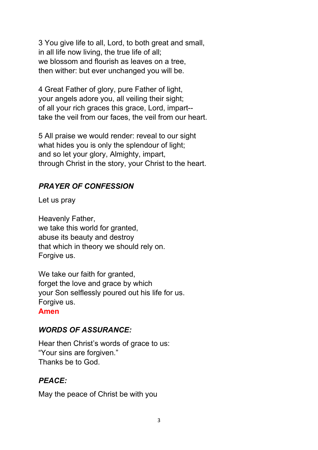3 You give life to all, Lord, to both great and small, in all life now living, the true life of all; we blossom and flourish as leaves on a tree, then wither: but ever unchanged you will be.

4 Great Father of glory, pure Father of light, your angels adore you, all veiling their sight; of all your rich graces this grace, Lord, impart- take the veil from our faces, the veil from our heart.

5 All praise we would render: reveal to our sight what hides you is only the splendour of light; and so let your glory, Almighty, impart, through Christ in the story, your Christ to the heart.

# *PRAYER OF CONFESSION*

Let us pray

Heavenly Father, we take this world for granted, abuse its beauty and destroy that which in theory we should rely on. Forgive us.

We take our faith for granted, forget the love and grace by which your Son selflessly poured out his life for us. Forgive us.

#### **Amen**

# *WORDS OF ASSURANCE:*

Hear then Christ's words of grace to us: "Your sins are forgiven." Thanks be to God.

# *PEACE:*

May the peace of Christ be with you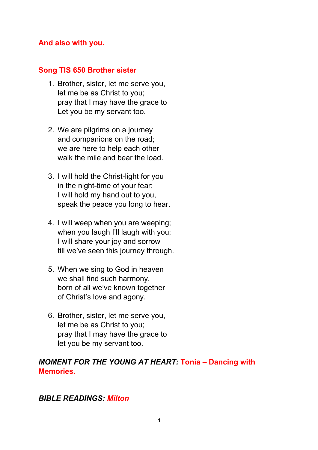#### **And also with you.**

#### **Song TIS 650 Brother sister**

- 1. Brother, sister, let me serve you, let me be as Christ to you; pray that I may have the grace to Let you be my servant too.
- 2. We are pilgrims on a journey and companions on the road; we are here to help each other walk the mile and bear the load.
- 3. I will hold the Christ-light for you in the night-time of your fear; I will hold my hand out to you, speak the peace you long to hear.
- 4. I will weep when you are weeping; when you laugh I'll laugh with you; I will share your joy and sorrow till we've seen this journey through.
- 5. When we sing to God in heaven we shall find such harmony, born of all we've known together of Christ's love and agony.
- 6. Brother, sister, let me serve you, let me be as Christ to you; pray that I may have the grace to let you be my servant too.

### *MOMENT FOR THE YOUNG AT HEART:* **Tonia – Dancing with Memories.**

### *BIBLE READINGS: Milton*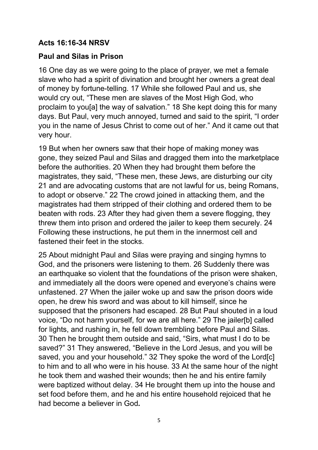### **Acts 16:16-34 NRSV**

#### **Paul and Silas in Prison**

16 One day as we were going to the place of prayer, we met a female slave who had a spirit of divination and brought her owners a great deal of money by fortune-telling. 17 While she followed Paul and us, she would cry out, "These men are slaves of the Most High God, who proclaim to you[a] the way of salvation." 18 She kept doing this for many days. But Paul, very much annoyed, turned and said to the spirit, "I order you in the name of Jesus Christ to come out of her." And it came out that very hour.

19 But when her owners saw that their hope of making money was gone, they seized Paul and Silas and dragged them into the marketplace before the authorities. 20 When they had brought them before the magistrates, they said, "These men, these Jews, are disturbing our city 21 and are advocating customs that are not lawful for us, being Romans, to adopt or observe." 22 The crowd joined in attacking them, and the magistrates had them stripped of their clothing and ordered them to be beaten with rods. 23 After they had given them a severe flogging, they threw them into prison and ordered the jailer to keep them securely. 24 Following these instructions, he put them in the innermost cell and fastened their feet in the stocks.

25 About midnight Paul and Silas were praying and singing hymns to God, and the prisoners were listening to them. 26 Suddenly there was an earthquake so violent that the foundations of the prison were shaken, and immediately all the doors were opened and everyone's chains were unfastened. 27 When the jailer woke up and saw the prison doors wide open, he drew his sword and was about to kill himself, since he supposed that the prisoners had escaped. 28 But Paul shouted in a loud voice, "Do not harm yourself, for we are all here." 29 The jailer[b] called for lights, and rushing in, he fell down trembling before Paul and Silas. 30 Then he brought them outside and said, "Sirs, what must I do to be saved?" 31 They answered, "Believe in the Lord Jesus, and you will be saved, you and your household." 32 They spoke the word of the Lord[c] to him and to all who were in his house. 33 At the same hour of the night he took them and washed their wounds; then he and his entire family were baptized without delay. 34 He brought them up into the house and set food before them, and he and his entire household rejoiced that he had become a believer in God*.*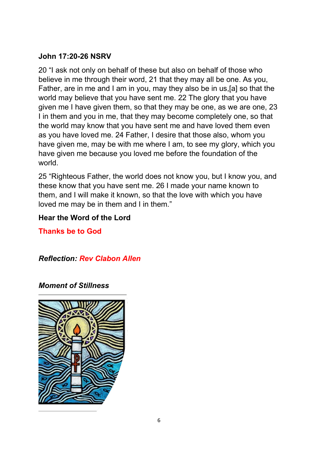### **John 17:20-26 NSRV**

20 "I ask not only on behalf of these but also on behalf of those who believe in me through their word, 21 that they may all be one. As you, Father, are in me and I am in you, may they also be in us,[a] so that the world may believe that you have sent me. 22 The glory that you have given me I have given them, so that they may be one, as we are one, 23 I in them and you in me, that they may become completely one, so that the world may know that you have sent me and have loved them even as you have loved me. 24 Father, I desire that those also, whom you have given me, may be with me where I am, to see my glory, which you have given me because you loved me before the foundation of the world.

25 "Righteous Father, the world does not know you, but I know you, and these know that you have sent me. 26 I made your name known to them, and I will make it known, so that the love with which you have loved me may be in them and I in them."

### **Hear the Word of the Lord**

**Thanks be to God**

*Reflection: Rev Clabon Allen*

*Moment of Stillness*

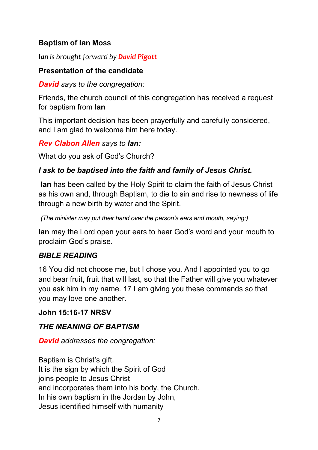## **Baptism of Ian Moss**

*Ian is brought forward by David Pigott*

### **Presentation of the candidate**

*David says to the congregation:*

Friends, the church council of this congregation has received a request for baptism from **Ian**

This important decision has been prayerfully and carefully considered, and I am glad to welcome him here today.

*Rev Clabon Allen says to Ian:*

What do you ask of God's Church?

# *I ask to be baptised into the faith and family of Jesus Christ.*

**Ian** has been called by the Holy Spirit to claim the faith of Jesus Christ as his own and, through Baptism, to die to sin and rise to newness of life through a new birth by water and the Spirit.

*(The minister may put their hand over the person's ears and mouth, saying:)*

**Ian** may the Lord open your ears to hear God's word and your mouth to proclaim God's praise.

# *BIBLE READING*

16 You did not choose me, but I chose you. And I appointed you to go and bear fruit, fruit that will last, so that the Father will give you whatever you ask him in my name. 17 I am giving you these commands so that you may love one another.

# **John 15:16-17 NRSV**

# *THE MEANING OF BAPTISM*

*David addresses the congregation:*

Baptism is Christ's gift. It is the sign by which the Spirit of God joins people to Jesus Christ and incorporates them into his body, the Church. In his own baptism in the Jordan by John, Jesus identified himself with humanity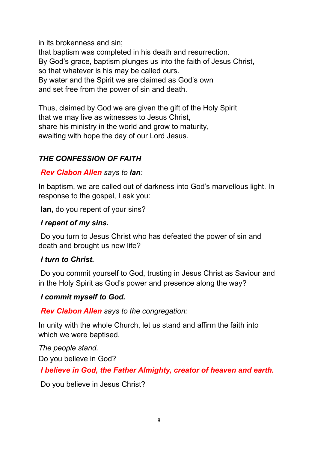in its brokenness and sin;

that baptism was completed in his death and resurrection. By God's grace, baptism plunges us into the faith of Jesus Christ, so that whatever is his may be called ours. By water and the Spirit we are claimed as God's own and set free from the power of sin and death.

Thus, claimed by God we are given the gift of the Holy Spirit that we may live as witnesses to Jesus Christ, share his ministry in the world and grow to maturity, awaiting with hope the day of our Lord Jesus.

# *THE CONFESSION OF FAITH*

### *Rev Clabon Allen says to Ian:*

In baptism, we are called out of darkness into God's marvellous light. In response to the gospel, I ask you:

**Ian,** do you repent of your sins?

### *I repent of my sins.*

Do you turn to Jesus Christ who has defeated the power of sin and death and brought us new life?

#### *I turn to Christ.*

Do you commit yourself to God, trusting in Jesus Christ as Saviour and in the Holy Spirit as God's power and presence along the way?

#### *I commit myself to God.*

*Rev Clabon Allen says to the congregation:*

In unity with the whole Church, let us stand and affirm the faith into which we were baptised.

*The people stand.*

Do you believe in God?

*I believe in God, the Father Almighty, creator of heaven and earth.*

Do you believe in Jesus Christ?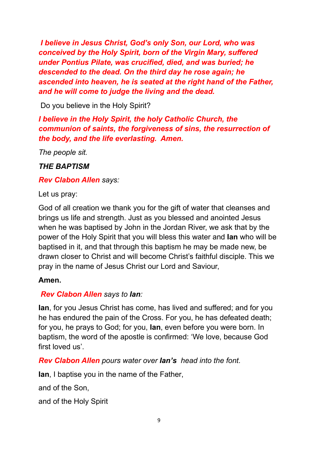*I believe in Jesus Christ, God's only Son, our Lord, who was conceived by the Holy Spirit, born of the Virgin Mary, suffered under Pontius Pilate, was crucified, died, and was buried; he descended to the dead. On the third day he rose again; he ascended into heaven, he is seated at the right hand of the Father, and he will come to judge the living and the dead.*

Do you believe in the Holy Spirit?

# *I believe in the Holy Spirit, the holy Catholic Church, the communion of saints, the forgiveness of sins, the resurrection of the body, and the life everlasting. Amen.*

*The people sit.*

# *THE BAPTISM*

*Rev Clabon Allen says:*

Let us pray:

God of all creation we thank you for the gift of water that cleanses and brings us life and strength. Just as you blessed and anointed Jesus when he was baptised by John in the Jordan River, we ask that by the power of the Holy Spirit that you will bless this water and **Ian** who will be baptised in it, and that through this baptism he may be made new, be drawn closer to Christ and will become Christ's faithful disciple. This we pray in the name of Jesus Christ our Lord and Saviour,

# **Amen.**

# *Rev Clabon Allen says to Ian:*

**Ian**, for you Jesus Christ has come, has lived and suffered; and for you he has endured the pain of the Cross. For you, he has defeated death; for you, he prays to God; for you, **Ian**, even before you were born. In baptism, the word of the apostle is confirmed: 'We love, because God first loved us'.

*Rev Clabon Allen pours water over Ian's head into the font.*

**Ian**, I baptise you in the name of the Father,

and of the Son,

and of the Holy Spirit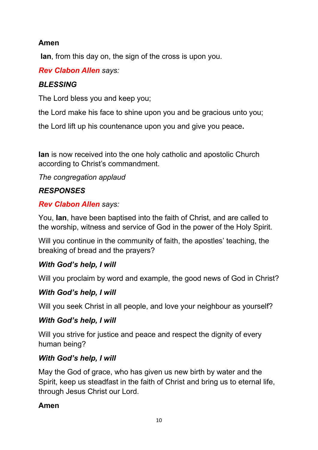## **Amen**

**Ian**, from this day on, the sign of the cross is upon you.

## *Rev Clabon Allen says:*

## *BLESSING*

The Lord bless you and keep you;

the Lord make his face to shine upon you and be gracious unto you;

the Lord lift up his countenance upon you and give you peace**.** 

**Ian** is now received into the one holy catholic and apostolic Church according to Christ's commandment.

*The congregation applaud*

## *RESPONSES*

## *Rev Clabon Allen says:*

You, **Ian**, have been baptised into the faith of Christ, and are called to the worship, witness and service of God in the power of the Holy Spirit.

Will you continue in the community of faith, the apostles' teaching, the breaking of bread and the prayers?

# *With God's help, I will*

Will you proclaim by word and example, the good news of God in Christ?

# *With God's help, I will*

Will you seek Christ in all people, and love your neighbour as yourself?

### *With God's help, I will*

Will you strive for justice and peace and respect the dignity of every human being?

# *With God's help, I will*

May the God of grace, who has given us new birth by water and the Spirit, keep us steadfast in the faith of Christ and bring us to eternal life, through Jesus Christ our Lord.

### **Amen**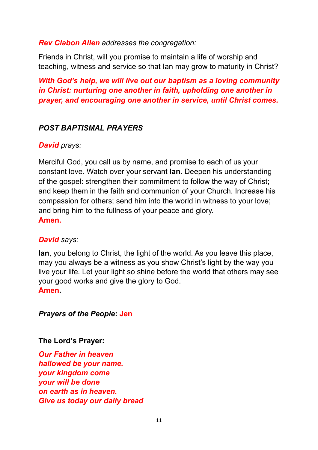#### *Rev Clabon Allen addresses the congregation:*

Friends in Christ, will you promise to maintain a life of worship and teaching, witness and service so that Ian may grow to maturity in Christ?

*With God's help, we will live out our baptism as a loving community in Christ: nurturing one another in faith, upholding one another in prayer, and encouraging one another in service, until Christ comes.*

#### *POST BAPTISMAL PRAYERS*

#### *David prays:*

Merciful God, you call us by name, and promise to each of us your constant love. Watch over your servant **Ian.** Deepen his understanding of the gospel: strengthen their commitment to follow the way of Christ; and keep them in the faith and communion of your Church. Increase his compassion for others; send him into the world in witness to your love; and bring him to the fullness of your peace and glory. **Amen.**

#### *David says:*

**Ian**, you belong to Christ, the light of the world. As you leave this place, may you always be a witness as you show Christ's light by the way you live your life. Let your light so shine before the world that others may see your good works and give the glory to God. **Amen.**

#### *Prayers of the People***: Jen**

#### **The Lord's Prayer:**

*Our Father in heaven hallowed be your name. your kingdom come your will be done on earth as in heaven. Give us today our daily bread*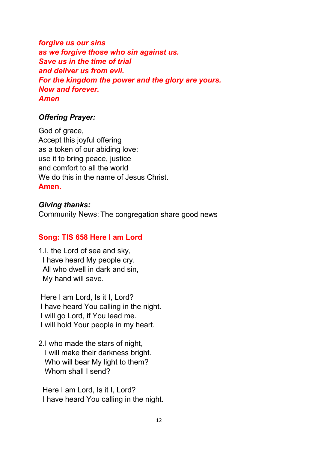*forgive us our sins as we forgive those who sin against us. Save us in the time of trial and deliver us from evil. For the kingdom the power and the glory are yours. Now and forever. Amen*

### *Offering Prayer:*

God of grace, Accept this joyful offering as a token of our abiding love: use it to bring peace, justice and comfort to all the world We do this in the name of Jesus Christ. **Amen.**

#### *Giving thanks:*

Community News: The congregation share good news

### **Song: TIS 658 Here I am Lord**

1.I, the Lord of sea and sky, I have heard My people cry. All who dwell in dark and sin, My hand will save.

Here I am Lord, Is it I, Lord? I have heard You calling in the night. I will go Lord, if You lead me. I will hold Your people in my heart.

2.I who made the stars of night, I will make their darkness bright. Who will bear My light to them? Whom shall I send?

 Here I am Lord, Is it I, Lord? I have heard You calling in the night.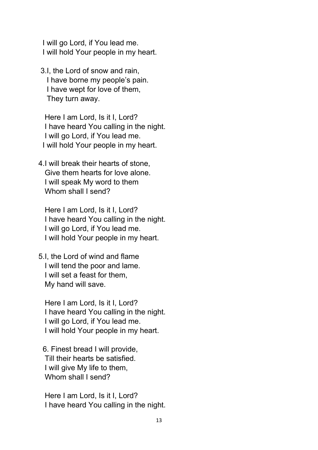I will go Lord, if You lead me. I will hold Your people in my heart.

3.I, the Lord of snow and rain, I have borne my people's pain. I have wept for love of them, They turn away.

 Here I am Lord, Is it I, Lord? I have heard You calling in the night. I will go Lord, if You lead me. I will hold Your people in my heart.

4.I will break their hearts of stone, Give them hearts for love alone. I will speak My word to them Whom shall I send?

 Here I am Lord, Is it I, Lord? I have heard You calling in the night. I will go Lord, if You lead me. I will hold Your people in my heart.

5.I, the Lord of wind and flame I will tend the poor and lame. I will set a feast for them, My hand will save.

 Here I am Lord, Is it I, Lord? I have heard You calling in the night. I will go Lord, if You lead me. I will hold Your people in my heart.

 6. Finest bread I will provide, Till their hearts be satisfied. I will give My life to them, Whom shall I send?

 Here I am Lord, Is it I, Lord? I have heard You calling in the night.